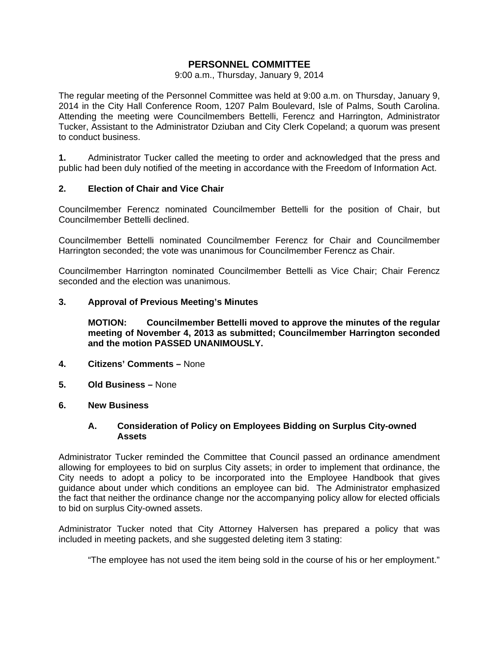## **PERSONNEL COMMITTEE**

#### 9:00 a.m., Thursday, January 9, 2014

The regular meeting of the Personnel Committee was held at 9:00 a.m. on Thursday, January 9, 2014 in the City Hall Conference Room, 1207 Palm Boulevard, Isle of Palms, South Carolina. Attending the meeting were Councilmembers Bettelli, Ferencz and Harrington, Administrator Tucker, Assistant to the Administrator Dziuban and City Clerk Copeland; a quorum was present to conduct business.

**1.** Administrator Tucker called the meeting to order and acknowledged that the press and public had been duly notified of the meeting in accordance with the Freedom of Information Act.

### **2. Election of Chair and Vice Chair**

Councilmember Ferencz nominated Councilmember Bettelli for the position of Chair, but Councilmember Bettelli declined.

Councilmember Bettelli nominated Councilmember Ferencz for Chair and Councilmember Harrington seconded; the vote was unanimous for Councilmember Ferencz as Chair.

Councilmember Harrington nominated Councilmember Bettelli as Vice Chair; Chair Ferencz seconded and the election was unanimous.

### **3. Approval of Previous Meeting's Minutes**

 **MOTION: Councilmember Bettelli moved to approve the minutes of the regular meeting of November 4, 2013 as submitted; Councilmember Harrington seconded and the motion PASSED UNANIMOUSLY.** 

- **4. Citizens' Comments** None
- **5. Old Business** None
- **6. New Business**

### **A. Consideration of Policy on Employees Bidding on Surplus City-owned Assets**

Administrator Tucker reminded the Committee that Council passed an ordinance amendment allowing for employees to bid on surplus City assets; in order to implement that ordinance, the City needs to adopt a policy to be incorporated into the Employee Handbook that gives guidance about under which conditions an employee can bid. The Administrator emphasized the fact that neither the ordinance change nor the accompanying policy allow for elected officials to bid on surplus City-owned assets.

Administrator Tucker noted that City Attorney Halversen has prepared a policy that was included in meeting packets, and she suggested deleting item 3 stating:

"The employee has not used the item being sold in the course of his or her employment."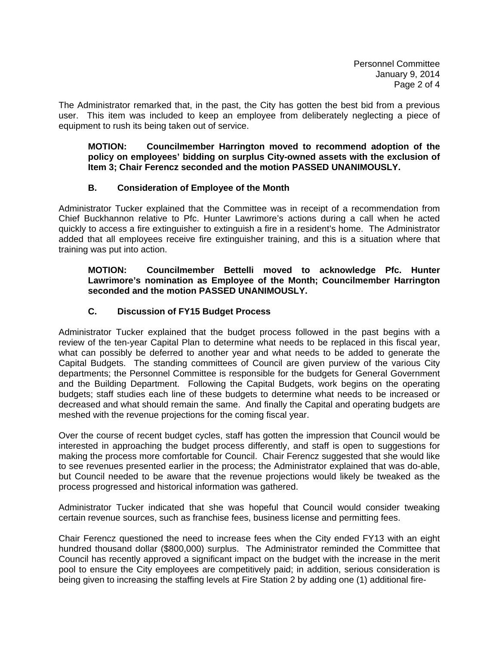The Administrator remarked that, in the past, the City has gotten the best bid from a previous user. This item was included to keep an employee from deliberately neglecting a piece of equipment to rush its being taken out of service.

**MOTION: Councilmember Harrington moved to recommend adoption of the policy on employees' bidding on surplus City-owned assets with the exclusion of Item 3; Chair Ferencz seconded and the motion PASSED UNANIMOUSLY.** 

## **B. Consideration of Employee of the Month**

Administrator Tucker explained that the Committee was in receipt of a recommendation from Chief Buckhannon relative to Pfc. Hunter Lawrimore's actions during a call when he acted quickly to access a fire extinguisher to extinguish a fire in a resident's home. The Administrator added that all employees receive fire extinguisher training, and this is a situation where that training was put into action.

#### **MOTION: Councilmember Bettelli moved to acknowledge Pfc. Hunter Lawrimore's nomination as Employee of the Month; Councilmember Harrington seconded and the motion PASSED UNANIMOUSLY.**

# **C. Discussion of FY15 Budget Process**

Administrator Tucker explained that the budget process followed in the past begins with a review of the ten-year Capital Plan to determine what needs to be replaced in this fiscal year, what can possibly be deferred to another year and what needs to be added to generate the Capital Budgets. The standing committees of Council are given purview of the various City departments; the Personnel Committee is responsible for the budgets for General Government and the Building Department. Following the Capital Budgets, work begins on the operating budgets; staff studies each line of these budgets to determine what needs to be increased or decreased and what should remain the same. And finally the Capital and operating budgets are meshed with the revenue projections for the coming fiscal year.

Over the course of recent budget cycles, staff has gotten the impression that Council would be interested in approaching the budget process differently, and staff is open to suggestions for making the process more comfortable for Council. Chair Ferencz suggested that she would like to see revenues presented earlier in the process; the Administrator explained that was do-able, but Council needed to be aware that the revenue projections would likely be tweaked as the process progressed and historical information was gathered.

Administrator Tucker indicated that she was hopeful that Council would consider tweaking certain revenue sources, such as franchise fees, business license and permitting fees.

Chair Ferencz questioned the need to increase fees when the City ended FY13 with an eight hundred thousand dollar (\$800,000) surplus. The Administrator reminded the Committee that Council has recently approved a significant impact on the budget with the increase in the merit pool to ensure the City employees are competitively paid; in addition, serious consideration is being given to increasing the staffing levels at Fire Station 2 by adding one (1) additional fire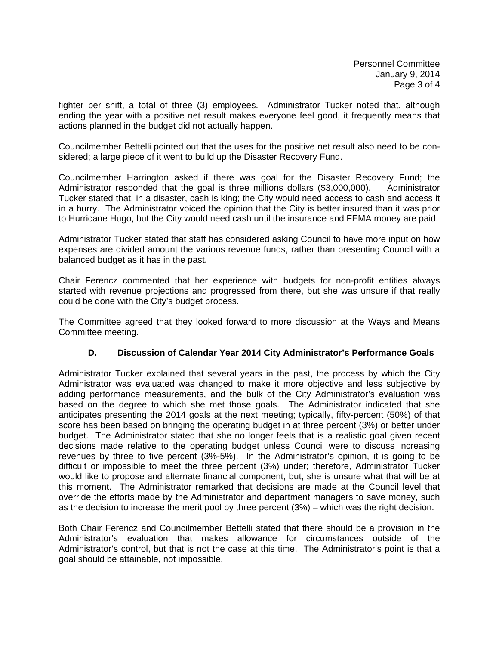fighter per shift, a total of three (3) employees. Administrator Tucker noted that, although ending the year with a positive net result makes everyone feel good, it frequently means that actions planned in the budget did not actually happen.

Councilmember Bettelli pointed out that the uses for the positive net result also need to be considered; a large piece of it went to build up the Disaster Recovery Fund.

Councilmember Harrington asked if there was goal for the Disaster Recovery Fund; the Administrator responded that the goal is three millions dollars (\$3,000,000). Administrator Tucker stated that, in a disaster, cash is king; the City would need access to cash and access it in a hurry. The Administrator voiced the opinion that the City is better insured than it was prior to Hurricane Hugo, but the City would need cash until the insurance and FEMA money are paid.

Administrator Tucker stated that staff has considered asking Council to have more input on how expenses are divided amount the various revenue funds, rather than presenting Council with a balanced budget as it has in the past.

Chair Ferencz commented that her experience with budgets for non-profit entities always started with revenue projections and progressed from there, but she was unsure if that really could be done with the City's budget process.

The Committee agreed that they looked forward to more discussion at the Ways and Means Committee meeting.

### **D. Discussion of Calendar Year 2014 City Administrator's Performance Goals**

Administrator Tucker explained that several years in the past, the process by which the City Administrator was evaluated was changed to make it more objective and less subjective by adding performance measurements, and the bulk of the City Administrator's evaluation was based on the degree to which she met those goals. The Administrator indicated that she anticipates presenting the 2014 goals at the next meeting; typically, fifty-percent (50%) of that score has been based on bringing the operating budget in at three percent (3%) or better under budget. The Administrator stated that she no longer feels that is a realistic goal given recent decisions made relative to the operating budget unless Council were to discuss increasing revenues by three to five percent (3%-5%). In the Administrator's opinion, it is going to be difficult or impossible to meet the three percent (3%) under; therefore, Administrator Tucker would like to propose and alternate financial component, but, she is unsure what that will be at this moment. The Administrator remarked that decisions are made at the Council level that override the efforts made by the Administrator and department managers to save money, such as the decision to increase the merit pool by three percent (3%) – which was the right decision.

Both Chair Ferencz and Councilmember Bettelli stated that there should be a provision in the Administrator's evaluation that makes allowance for circumstances outside of the Administrator's control, but that is not the case at this time. The Administrator's point is that a goal should be attainable, not impossible.